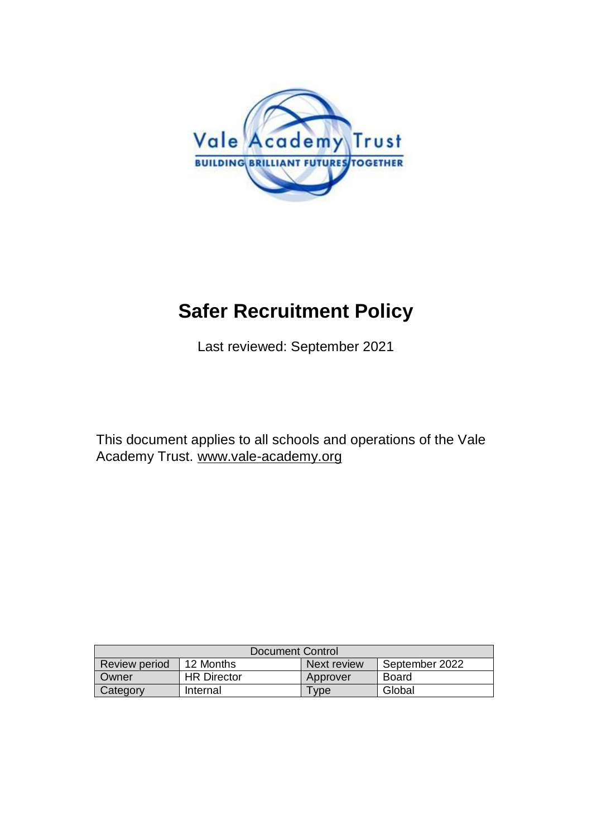

# **Safer Recruitment Policy**

Last reviewed: September 2021

This document applies to all schools and operations of the Vale Academy Trust. [www.vale-academy.org](http://www.vale-academy.org/)

| Document Control     |                    |                 |                |
|----------------------|--------------------|-----------------|----------------|
| <b>Review period</b> | 12 Months          | Next review     | September 2022 |
| Owner                | <b>HR Director</b> | Approver        | Board          |
| Category             | Internal           | V <sub>De</sub> | Global         |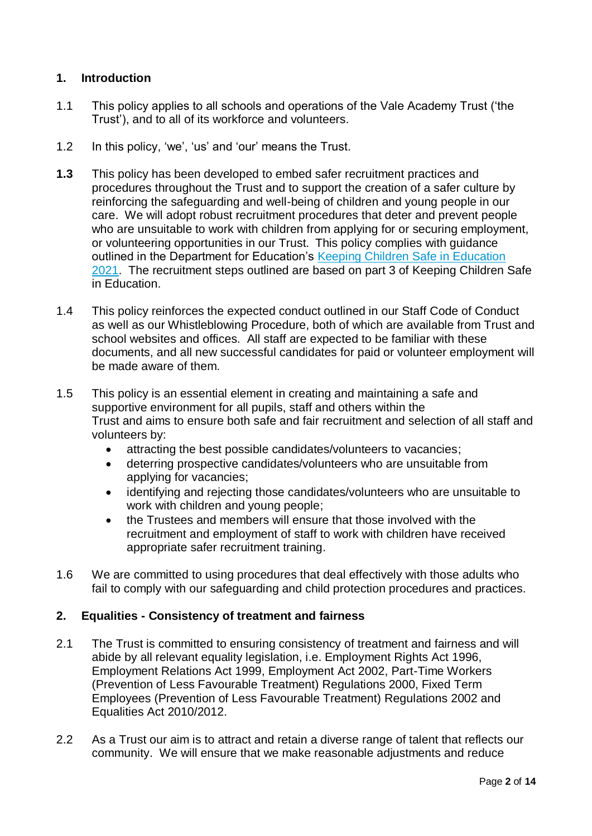# **1. Introduction**

- 1.1 This policy applies to all schools and operations of the Vale Academy Trust ('the Trust'), and to all of its workforce and volunteers.
- 1.2 In this policy, 'we', 'us' and 'our' means the Trust.
- **1.3** This policy has been developed to embed safer recruitment practices and procedures throughout the Trust and to support the creation of a safer culture by reinforcing the safeguarding and well-being of children and young people in our care. We will adopt robust recruitment procedures that deter and prevent people who are unsuitable to work with children from applying for or securing employment, or volunteering opportunities in our Trust. This policy complies with guidance outlined in the Department for Education's [Keeping Children Safe in Education](https://www.gov.uk/government/publications/keeping-children-safe-in-education--2)  [2021.](https://www.gov.uk/government/publications/keeping-children-safe-in-education--2) The recruitment steps outlined are based on part 3 of Keeping Children Safe in Education.
- 1.4 This policy reinforces the expected conduct outlined in our Staff Code of Conduct as well as our Whistleblowing Procedure, both of which are available from Trust and school websites and offices. All staff are expected to be familiar with these documents, and all new successful candidates for paid or volunteer employment will be made aware of them.
- 1.5 This policy is an essential element in creating and maintaining a safe and supportive environment for all pupils, staff and others within the Trust and aims to ensure both safe and fair recruitment and selection of all staff and volunteers by:
	- attracting the best possible candidates/volunteers to vacancies;
	- deterring prospective candidates/volunteers who are unsuitable from applying for vacancies;
	- identifying and rejecting those candidates/volunteers who are unsuitable to work with children and young people;
	- the Trustees and members will ensure that those involved with the recruitment and employment of staff to work with children have received appropriate safer recruitment training.
- 1.6 We are committed to using procedures that deal effectively with those adults who fail to comply with our safeguarding and child protection procedures and practices.

## **2. Equalities - Consistency of treatment and fairness**

- 2.1 The Trust is committed to ensuring consistency of treatment and fairness and will abide by all relevant equality legislation, i.e. Employment Rights Act 1996, Employment Relations Act 1999, Employment Act 2002, Part-Time Workers (Prevention of Less Favourable Treatment) Regulations 2000, Fixed Term Employees (Prevention of Less Favourable Treatment) Regulations 2002 and Equalities Act 2010/2012.
- 2.2 As a Trust our aim is to attract and retain a diverse range of talent that reflects our community. We will ensure that we make reasonable adjustments and reduce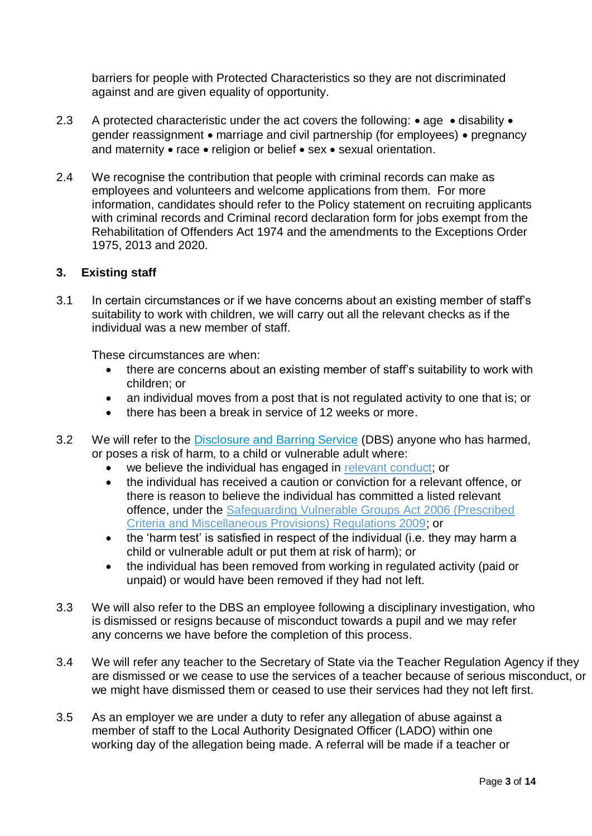barriers for people with Protected Characteristics so they are not discriminated against and are given equality of opportunity.

- 2.3 A protected characteristic under the act covers the following:  $\bullet$  age  $\bullet$  disability  $\bullet$ gender reassignment  $\bullet$  marriage and civil partnership (for employees)  $\bullet$  pregnancy and maternity  $\bullet$  race  $\bullet$  religion or belief  $\bullet$  sex  $\bullet$  sexual orientation.
- 2.4 We recognise the contribution that people with criminal records can make as employees and volunteers and welcome applications from them. For more information, candidates should refer to the Policy statement on recruiting applicants with criminal records and Criminal record declaration form for jobs exempt from the Rehabilitation of Offenders Act 1974 and the amendments to the Exceptions Order 1975, 2013 and 2020.

#### **3. Existing staff**

3.1 In certain circumstances or if we have concerns about an existing member of staff's suitability to work with children, we will carry out all the relevant checks as if the individual was a new member of staff.

These circumstances are when:

- there are concerns about an existing member of staff's suitability to work with children; or
- an individual moves from a post that is not regulated activity to one that is; or
- there has been a break in service of 12 weeks or more.
- 3.2 We will refer to the [Disclosure and Barring Service](https://www.gov.uk/government/organisations/disclosure-and-barring-service) (DBS) anyone who has harmed, or poses a risk of harm, to a child or vulnerable adult where:
	- we believe the individual has engaged in [relevant conduct;](https://www.gov.uk/guidance/making-barring-referrals-to-the-dbs#relevant-conduct-in-relation-to-children) or
	- the individual has received a caution or conviction for a relevant offence, or there is reason to believe the individual has committed a listed relevant offence, under the [Safeguarding Vulnerable Groups Act 2006 \(Prescribed](http://www.legislation.gov.uk/uksi/2009/37/contents/made)  [Criteria and Miscellaneous Provisions\) Regulations 2009;](http://www.legislation.gov.uk/uksi/2009/37/contents/made) or
	- the 'harm test' is satisfied in respect of the individual (i.e. they may harm a child or vulnerable adult or put them at risk of harm); or
	- the individual has been removed from working in regulated activity (paid or unpaid) or would have been removed if they had not left.
- 3.3 We will also refer to the DBS an employee following a disciplinary investigation, who is dismissed or resigns because of misconduct towards a pupil and we may refer any concerns we have before the completion of this process.
- 3.4 We will refer any teacher to the Secretary of State via the Teacher Regulation Agency if they are dismissed or we cease to use the services of a teacher because of serious misconduct, or we might have dismissed them or ceased to use their services had they not left first.
- 3.5 As an employer we are under a duty to refer any allegation of abuse against a member of staff to the Local Authority Designated Officer (LADO) within one working day of the allegation being made. A referral will be made if a teacher or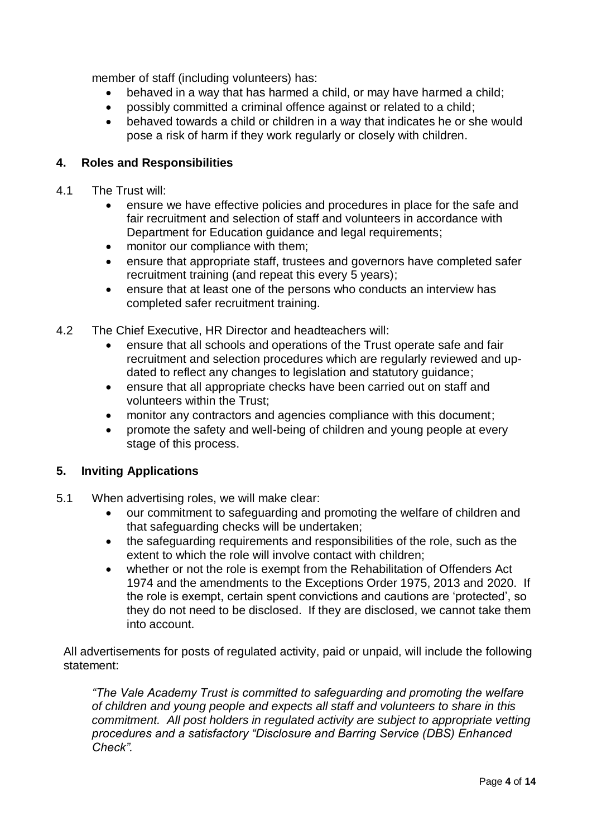member of staff (including volunteers) has:

- behaved in a way that has harmed a child, or may have harmed a child;
- possibly committed a criminal offence against or related to a child;
- behaved towards a child or children in a way that indicates he or she would pose a risk of harm if they work regularly or closely with children.

## **4. Roles and Responsibilities**

- 4.1 The Trust will:
	- ensure we have effective policies and procedures in place for the safe and fair recruitment and selection of staff and volunteers in accordance with Department for Education guidance and legal requirements;
	- monitor our compliance with them;
	- ensure that appropriate staff, trustees and governors have completed safer recruitment training (and repeat this every 5 years);
	- ensure that at least one of the persons who conducts an interview has completed safer recruitment training.
- 4.2 The Chief Executive, HR Director and headteachers will:
	- ensure that all schools and operations of the Trust operate safe and fair recruitment and selection procedures which are regularly reviewed and updated to reflect any changes to legislation and statutory guidance;
	- ensure that all appropriate checks have been carried out on staff and volunteers within the Trust;
	- monitor any contractors and agencies compliance with this document;
	- promote the safety and well-being of children and young people at every stage of this process.

#### **5. Inviting Applications**

- 5.1 When advertising roles, we will make clear:
	- our commitment to safeguarding and promoting the welfare of children and that safeguarding checks will be undertaken;
	- the safeguarding requirements and responsibilities of the role, such as the extent to which the role will involve contact with children;
	- whether or not the role is exempt from the Rehabilitation of Offenders Act 1974 and the amendments to the Exceptions Order 1975, 2013 and 2020. If the role is exempt, certain spent convictions and cautions are 'protected', so they do not need to be disclosed. If they are disclosed, we cannot take them into account.

All advertisements for posts of regulated activity, paid or unpaid, will include the following statement:

*"The Vale Academy Trust is committed to safeguarding and promoting the welfare of children and young people and expects all staff and volunteers to share in this commitment. All post holders in regulated activity are subject to appropriate vetting procedures and a satisfactory "Disclosure and Barring Service (DBS) Enhanced Check".*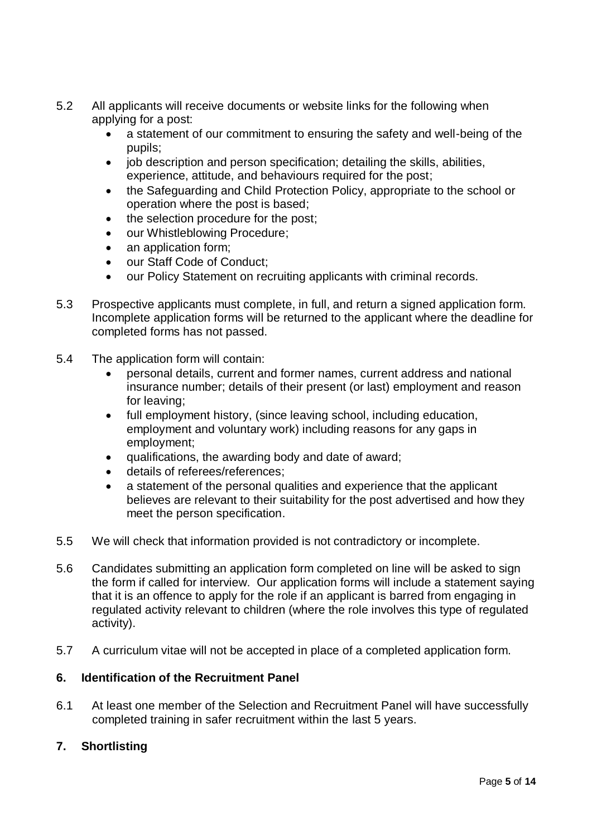- 5.2 All applicants will receive documents or website links for the following when applying for a post:
	- a statement of our commitment to ensuring the safety and well-being of the pupils;
	- job description and person specification; detailing the skills, abilities, experience, attitude, and behaviours required for the post;
	- the Safeguarding and Child Protection Policy, appropriate to the school or operation where the post is based;
	- the selection procedure for the post;
	- our Whistleblowing Procedure;
	- an application form;
	- our Staff Code of Conduct;
	- our Policy Statement on recruiting applicants with criminal records.
- 5.3 Prospective applicants must complete, in full, and return a signed application form. Incomplete application forms will be returned to the applicant where the deadline for completed forms has not passed.
- 5.4 The application form will contain:
	- personal details, current and former names, current address and national insurance number; details of their present (or last) employment and reason for leaving;
	- full employment history, (since leaving school, including education, employment and voluntary work) including reasons for any gaps in employment;
	- qualifications, the awarding body and date of award;
	- details of referees/references;
	- a statement of the personal qualities and experience that the applicant believes are relevant to their suitability for the post advertised and how they meet the person specification.
- 5.5 We will check that information provided is not contradictory or incomplete.
- 5.6 Candidates submitting an application form completed on line will be asked to sign the form if called for interview. Our application forms will include a statement saying that it is an offence to apply for the role if an applicant is barred from engaging in regulated activity relevant to children (where the role involves this type of regulated activity).
- 5.7 A curriculum vitae will not be accepted in place of a completed application form.

## **6. Identification of the Recruitment Panel**

6.1 At least one member of the Selection and Recruitment Panel will have successfully completed training in safer recruitment within the last 5 years.

## **7. Shortlisting**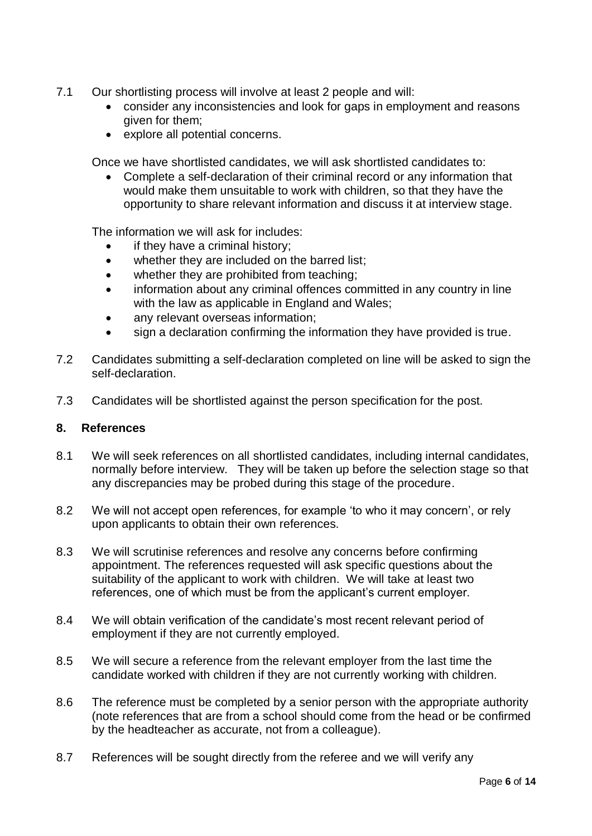- 7.1 Our shortlisting process will involve at least 2 people and will:
	- consider any inconsistencies and look for gaps in employment and reasons given for them;
	- explore all potential concerns.

Once we have shortlisted candidates, we will ask shortlisted candidates to:

 Complete a self-declaration of their criminal record or any information that would make them unsuitable to work with children, so that they have the opportunity to share relevant information and discuss it at interview stage.

The information we will ask for includes:

- if they have a criminal history;
- whether they are included on the barred list:
- whether they are prohibited from teaching;
- information about any criminal offences committed in any country in line with the law as applicable in England and Wales;
- any relevant overseas information;
- sign a declaration confirming the information they have provided is true.
- 7.2 Candidates submitting a self-declaration completed on line will be asked to sign the self-declaration.
- 7.3 Candidates will be shortlisted against the person specification for the post.

#### **8. References**

- 8.1 We will seek references on all shortlisted candidates, including internal candidates, normally before interview. They will be taken up before the selection stage so that any discrepancies may be probed during this stage of the procedure.
- 8.2 We will not accept open references, for example 'to who it may concern', or rely upon applicants to obtain their own references.
- 8.3 We will scrutinise references and resolve any concerns before confirming appointment. The references requested will ask specific questions about the suitability of the applicant to work with children. We will take at least two references, one of which must be from the applicant's current employer.
- 8.4 We will obtain verification of the candidate's most recent relevant period of employment if they are not currently employed.
- 8.5 We will secure a reference from the relevant employer from the last time the candidate worked with children if they are not currently working with children.
- 8.6 The reference must be completed by a senior person with the appropriate authority (note references that are from a school should come from the head or be confirmed by the headteacher as accurate, not from a colleague).
- 8.7 References will be sought directly from the referee and we will verify any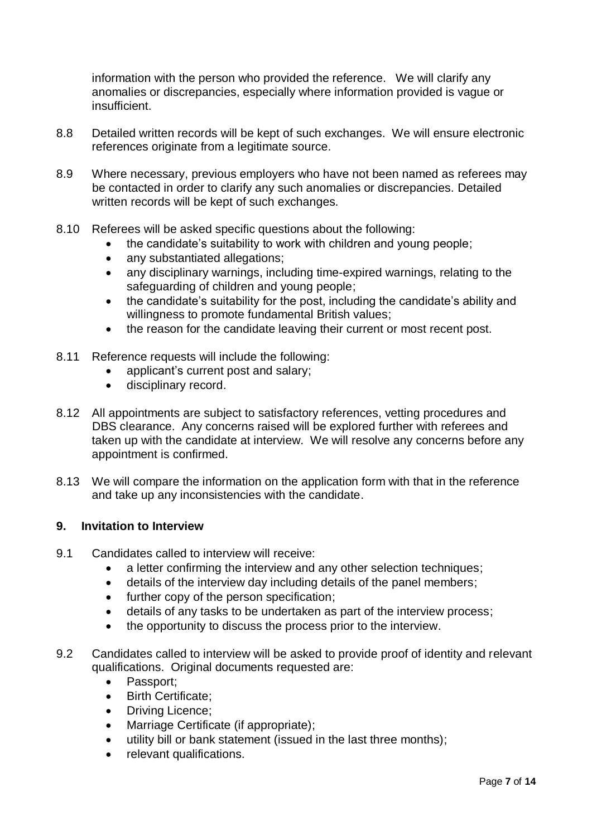information with the person who provided the reference. We will clarify any anomalies or discrepancies, especially where information provided is vague or insufficient.

- 8.8 Detailed written records will be kept of such exchanges. We will ensure electronic references originate from a legitimate source.
- 8.9 Where necessary, previous employers who have not been named as referees may be contacted in order to clarify any such anomalies or discrepancies. Detailed written records will be kept of such exchanges.
- 8.10 Referees will be asked specific questions about the following:
	- the candidate's suitability to work with children and young people;
	- any substantiated allegations;
	- any disciplinary warnings, including time-expired warnings, relating to the safeguarding of children and young people;
	- the candidate's suitability for the post, including the candidate's ability and willingness to promote fundamental British values;
	- the reason for the candidate leaving their current or most recent post.
- 8.11 Reference requests will include the following:
	- applicant's current post and salary;
	- **•** disciplinary record.
- 8.12 All appointments are subject to satisfactory references, vetting procedures and DBS clearance. Any concerns raised will be explored further with referees and taken up with the candidate at interview. We will resolve any concerns before any appointment is confirmed.
- 8.13 We will compare the information on the application form with that in the reference and take up any inconsistencies with the candidate.

#### **9. Invitation to Interview**

- 9.1 Candidates called to interview will receive:
	- a letter confirming the interview and any other selection techniques;
	- details of the interview day including details of the panel members;
	- further copy of the person specification;
	- details of any tasks to be undertaken as part of the interview process;
	- the opportunity to discuss the process prior to the interview.
- 9.2 Candidates called to interview will be asked to provide proof of identity and relevant qualifications. Original documents requested are:
	- Passport:
	- Birth Certificate:
	- Driving Licence;
	- Marriage Certificate (if appropriate);
	- utility bill or bank statement (issued in the last three months);
	- relevant qualifications.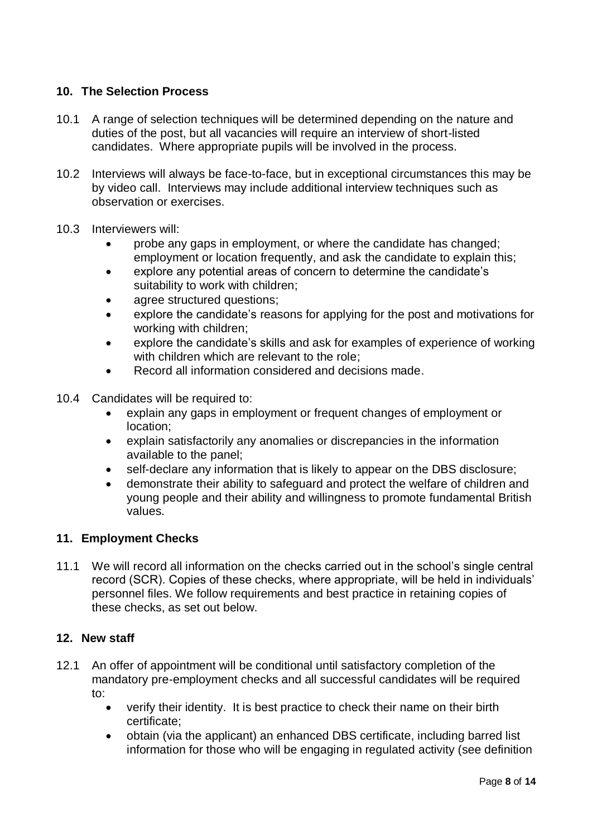# **10. The Selection Process**

- 10.1 A range of selection techniques will be determined depending on the nature and duties of the post, but all vacancies will require an interview of short-listed candidates. Where appropriate pupils will be involved in the process.
- 10.2 Interviews will always be face-to-face, but in exceptional circumstances this may be by video call. Interviews may include additional interview techniques such as observation or exercises.
- 10.3 Interviewers will:
	- probe any gaps in employment, or where the candidate has changed; employment or location frequently, and ask the candidate to explain this;
	- explore any potential areas of concern to determine the candidate's suitability to work with children;
	- agree structured questions;
	- explore the candidate's reasons for applying for the post and motivations for working with children;
	- explore the candidate's skills and ask for examples of experience of working with children which are relevant to the role:
	- Record all information considered and decisions made.
- 10.4 Candidates will be required to:
	- explain any gaps in employment or frequent changes of employment or location;
	- explain satisfactorily any anomalies or discrepancies in the information available to the panel;
	- self-declare any information that is likely to appear on the DBS disclosure;
	- demonstrate their ability to safeguard and protect the welfare of children and young people and their ability and willingness to promote fundamental British values.

## **11. Employment Checks**

11.1 We will record all information on the checks carried out in the school's single central record (SCR). Copies of these checks, where appropriate, will be held in individuals' personnel files. We follow requirements and best practice in retaining copies of these checks, as set out below.

#### **12. New staff**

- 12.1 An offer of appointment will be conditional until satisfactory completion of the mandatory pre-employment checks and all successful candidates will be required to:
	- verify their identity. It is best practice to check their name on their birth certificate;
	- obtain (via the applicant) an enhanced DBS certificate, including barred list information for those who will be engaging in regulated activity (see definition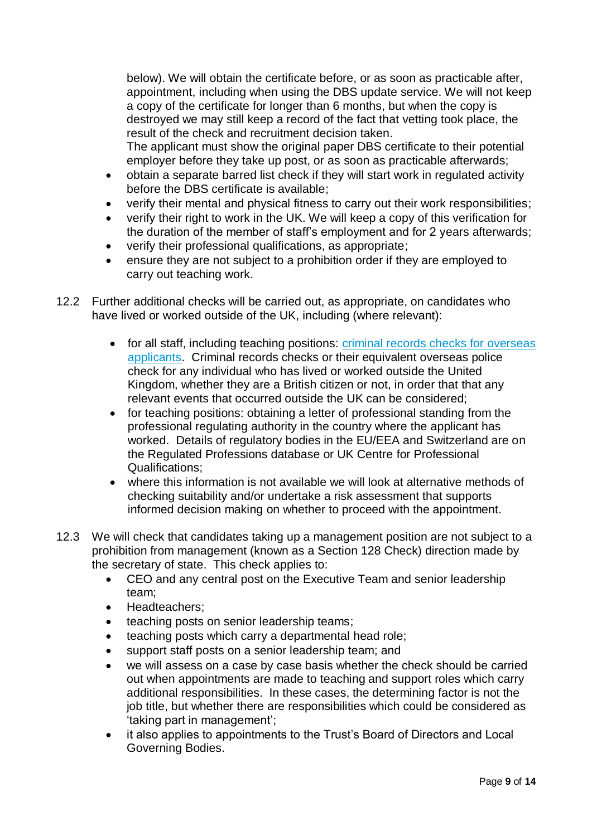below). We will obtain the certificate before, or as soon as practicable after, appointment, including when using the DBS update service. We will not keep a copy of the certificate for longer than 6 months, but when the copy is destroyed we may still keep a record of the fact that vetting took place, the result of the check and recruitment decision taken.

The applicant must show the original paper DBS certificate to their potential employer before they take up post, or as soon as practicable afterwards;

- obtain a separate barred list check if they will start work in regulated activity before the DBS certificate is available;
- verify their mental and physical fitness to carry out their work responsibilities;
- verify their right to work in the UK. We will keep a copy of this verification for the duration of the member of staff's employment and for 2 years afterwards;
- verify their professional qualifications, as appropriate;
- ensure they are not subject to a prohibition order if they are employed to carry out teaching work.
- 12.2 Further additional checks will be carried out, as appropriate, on candidates who have lived or worked outside of the UK, including (where relevant):
	- for all staff, including teaching positions: [criminal records checks for overseas](https://www.gov.uk/government/publications/criminal-records-checks-for-overseas-applicants)  [applicants.](https://www.gov.uk/government/publications/criminal-records-checks-for-overseas-applicants) Criminal records checks or their equivalent overseas police check for any individual who has lived or worked outside the United Kingdom, whether they are a British citizen or not, in order that that any relevant events that occurred outside the UK can be considered;
	- for teaching positions: obtaining a letter of professional standing from the professional regulating authority in the country where the applicant has worked. Details of regulatory bodies in the EU/EEA and Switzerland are on the Regulated Professions database or UK Centre for Professional Qualifications;
	- where this information is not available we will look at alternative methods of checking suitability and/or undertake a risk assessment that supports informed decision making on whether to proceed with the appointment.
- 12.3 We will check that candidates taking up a management position are not subject to a prohibition from management (known as a Section 128 Check) direction made by the secretary of state. This check applies to:
	- CEO and any central post on the Executive Team and senior leadership team;
	- Headteachers:
	- teaching posts on senior leadership teams;
	- teaching posts which carry a departmental head role;
	- support staff posts on a senior leadership team; and
	- we will assess on a case by case basis whether the check should be carried out when appointments are made to teaching and support roles which carry additional responsibilities. In these cases, the determining factor is not the job title, but whether there are responsibilities which could be considered as 'taking part in management';
	- it also applies to appointments to the Trust's Board of Directors and Local Governing Bodies.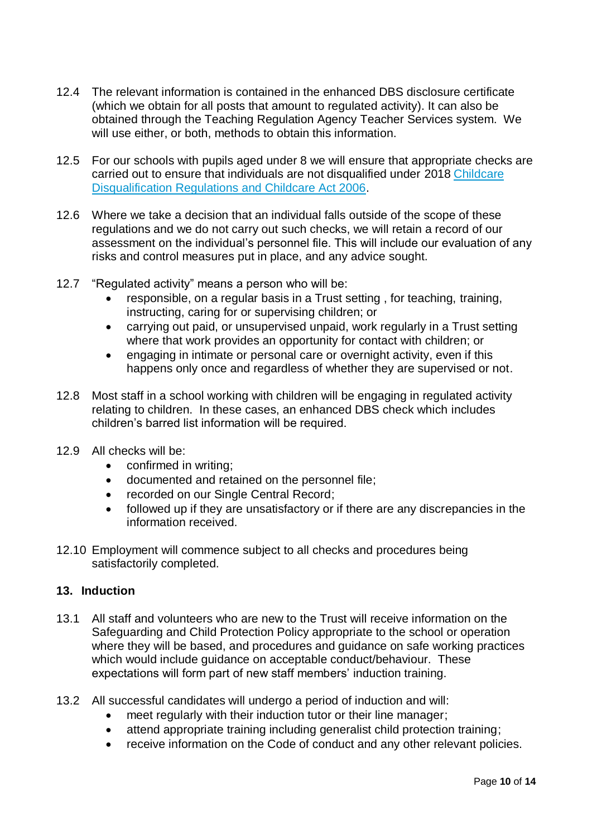- 12.4 The relevant information is contained in the enhanced DBS disclosure certificate (which we obtain for all posts that amount to regulated activity). It can also be obtained through the Teaching Regulation Agency Teacher Services system. We will use either, or both, methods to obtain this information.
- 12.5 For our schools with pupils aged under 8 we will ensure that appropriate checks are carried out to ensure that individuals are not disqualified under 2018 [Childcare](https://www.gov.uk/government/publications/disqualification-under-the-childcare-act-2006/disqualification-under-the-childcare-act-2006)  [Disqualification Regulations and Childcare Act 2006.](https://www.gov.uk/government/publications/disqualification-under-the-childcare-act-2006/disqualification-under-the-childcare-act-2006)
- 12.6 Where we take a decision that an individual falls outside of the scope of these regulations and we do not carry out such checks, we will retain a record of our assessment on the individual's personnel file. This will include our evaluation of any risks and control measures put in place, and any advice sought.
- 12.7 "Regulated activity" means a person who will be:
	- responsible, on a regular basis in a Trust setting , for teaching, training, instructing, caring for or supervising children; or
	- carrying out paid, or unsupervised unpaid, work regularly in a Trust setting where that work provides an opportunity for contact with children; or
	- engaging in intimate or personal care or overnight activity, even if this happens only once and regardless of whether they are supervised or not.
- 12.8 Most staff in a school working with children will be engaging in regulated activity relating to children. In these cases, an enhanced DBS check which includes children's barred list information will be required.
- 12.9 All checks will be:
	- confirmed in writing;
	- documented and retained on the personnel file;
	- recorded on our Single Central Record;
	- followed up if they are unsatisfactory or if there are any discrepancies in the information received.
- 12.10 Employment will commence subject to all checks and procedures being satisfactorily completed.

#### **13. Induction**

- 13.1 All staff and volunteers who are new to the Trust will receive information on the Safeguarding and Child Protection Policy appropriate to the school or operation where they will be based, and procedures and guidance on safe working practices which would include quidance on acceptable conduct/behaviour. These expectations will form part of new staff members' induction training.
- 13.2 All successful candidates will undergo a period of induction and will:
	- meet regularly with their induction tutor or their line manager;
	- attend appropriate training including generalist child protection training;
	- receive information on the Code of conduct and any other relevant policies.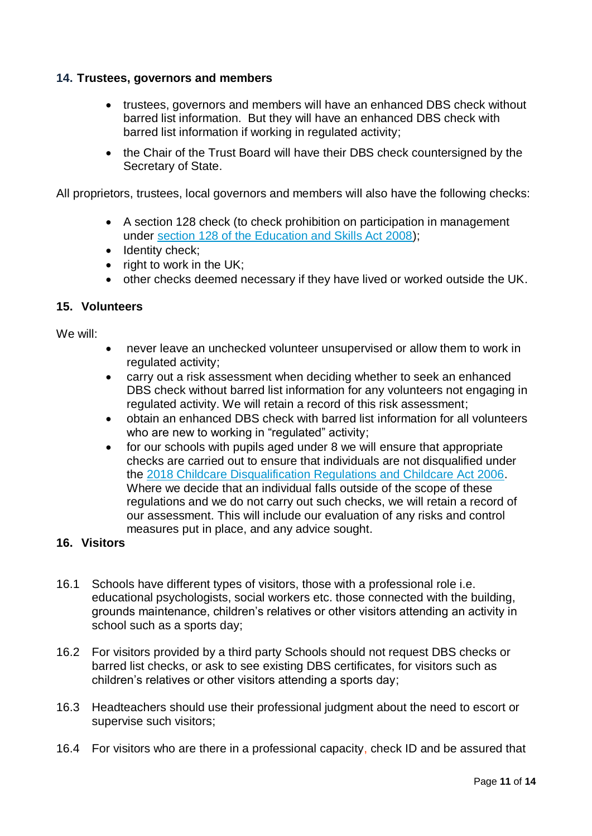## **14. Trustees, governors and members**

- trustees, governors and members will have an enhanced DBS check without barred list information. But they will have an enhanced DBS check with barred list information if working in regulated activity;
- the Chair of the Trust Board will have their DBS check countersigned by the Secretary of State.

All proprietors, trustees, local governors and members will also have the following checks:

- A section 128 check (to check prohibition on participation in management under [section 128 of the Education and Skills Act 2008\)](https://www.legislation.gov.uk/ukpga/2008/25/section/128);
- Identity check;
- $\bullet$  right to work in the UK;
- other checks deemed necessary if they have lived or worked outside the UK.

## **15. Volunteers**

We will:

- never leave an unchecked volunteer unsupervised or allow them to work in regulated activity;
- carry out a risk assessment when deciding whether to seek an enhanced DBS check without barred list information for any volunteers not engaging in regulated activity. We will retain a record of this risk assessment;
- obtain an enhanced DBS check with barred list information for all volunteers who are new to working in "regulated" activity;
- for our schools with pupils aged under 8 we will ensure that appropriate checks are carried out to ensure that individuals are not disqualified under the [2018 Childcare Disqualification Regulations and Childcare Act 2006.](https://www.gov.uk/government/publications/disqualification-under-the-childcare-act-2006/disqualification-under-the-childcare-act-2006) Where we decide that an individual falls outside of the scope of these regulations and we do not carry out such checks, we will retain a record of our assessment. This will include our evaluation of any risks and control measures put in place, and any advice sought.

# **16. Visitors**

- 16.1 Schools have different types of visitors, those with a professional role i.e. educational psychologists, social workers etc. those connected with the building, grounds maintenance, children's relatives or other visitors attending an activity in school such as a sports day;
- 16.2 For visitors provided by a third party Schools should not request DBS checks or barred list checks, or ask to see existing DBS certificates, for visitors such as children's relatives or other visitors attending a sports day;
- 16.3 Headteachers should use their professional judgment about the need to escort or supervise such visitors;
- 16.4 For visitors who are there in a professional capacity, check ID and be assured that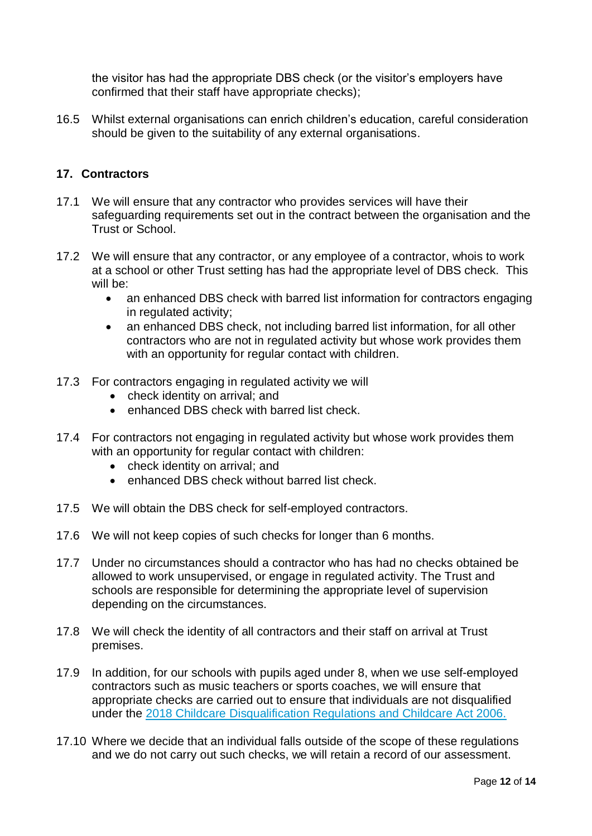the visitor has had the appropriate DBS check (or the visitor's employers have confirmed that their staff have appropriate checks);

16.5 Whilst external organisations can enrich children's education, careful consideration should be given to the suitability of any external organisations.

## **17. Contractors**

- 17.1 We will ensure that any contractor who provides services will have their safeguarding requirements set out in the contract between the organisation and the Trust or School.
- 17.2 We will ensure that any contractor, or any employee of a contractor, whois to work at a school or other Trust setting has had the appropriate level of DBS check. This will be:
	- an enhanced DBS check with barred list information for contractors engaging in regulated activity;
	- an enhanced DBS check, not including barred list information, for all other contractors who are not in regulated activity but whose work provides them with an opportunity for regular contact with children.
- 17.3 For contractors engaging in regulated activity we will
	- check identity on arrival: and
	- enhanced DBS check with barred list check.
- 17.4 For contractors not engaging in regulated activity but whose work provides them with an opportunity for regular contact with children:
	- check identity on arrival: and
	- enhanced DBS check without barred list check.
- 17.5 We will obtain the DBS check for self-employed contractors.
- 17.6 We will not keep copies of such checks for longer than 6 months.
- 17.7 Under no circumstances should a contractor who has had no checks obtained be allowed to work unsupervised, or engage in regulated activity. The Trust and schools are responsible for determining the appropriate level of supervision depending on the circumstances.
- 17.8 We will check the identity of all contractors and their staff on arrival at Trust premises.
- 17.9 In addition, for our schools with pupils aged under 8, when we use self-employed contractors such as music teachers or sports coaches, we will ensure that appropriate checks are carried out to ensure that individuals are not disqualified under the [2018 Childcare Disqualification Regulations and Childcare Act 2006.](https://www.gov.uk/government/publications/disqualification-under-the-childcare-act-2006/disqualification-under-the-childcare-act-2006)
- 17.10 Where we decide that an individual falls outside of the scope of these regulations and we do not carry out such checks, we will retain a record of our assessment.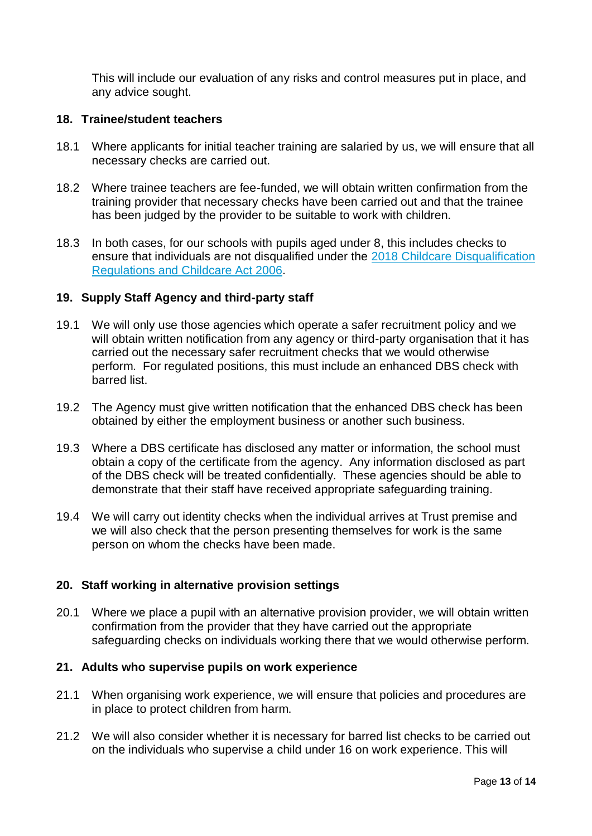This will include our evaluation of any risks and control measures put in place, and any advice sought.

#### **18. Trainee/student teachers**

- 18.1 Where applicants for initial teacher training are salaried by us, we will ensure that all necessary checks are carried out.
- 18.2 Where trainee teachers are fee-funded, we will obtain written confirmation from the training provider that necessary checks have been carried out and that the trainee has been judged by the provider to be suitable to work with children.
- 18.3 In both cases, for our schools with pupils aged under 8, this includes checks to ensure that individuals are not disqualified under the [2018 Childcare Disqualification](https://www.gov.uk/government/publications/disqualification-under-the-childcare-act-2006/disqualification-under-the-childcare-act-2006)  [Regulations and Childcare Act 2006.](https://www.gov.uk/government/publications/disqualification-under-the-childcare-act-2006/disqualification-under-the-childcare-act-2006)

#### **19. Supply Staff Agency and third-party staff**

- 19.1 We will only use those agencies which operate a safer recruitment policy and we will obtain written notification from any agency or third-party organisation that it has carried out the necessary safer recruitment checks that we would otherwise perform. For regulated positions, this must include an enhanced DBS check with barred list.
- 19.2 The Agency must give written notification that the enhanced DBS check has been obtained by either the employment business or another such business.
- 19.3 Where a DBS certificate has disclosed any matter or information, the school must obtain a copy of the certificate from the agency. Any information disclosed as part of the DBS check will be treated confidentially. These agencies should be able to demonstrate that their staff have received appropriate safeguarding training.
- 19.4 We will carry out identity checks when the individual arrives at Trust premise and we will also check that the person presenting themselves for work is the same person on whom the checks have been made.

## **20. Staff working in alternative provision settings**

20.1 Where we place a pupil with an alternative provision provider, we will obtain written confirmation from the provider that they have carried out the appropriate safeguarding checks on individuals working there that we would otherwise perform.

#### **21. Adults who supervise pupils on work experience**

- 21.1 When organising work experience, we will ensure that policies and procedures are in place to protect children from harm.
- 21.2 We will also consider whether it is necessary for barred list checks to be carried out on the individuals who supervise a child under 16 on work experience. This will